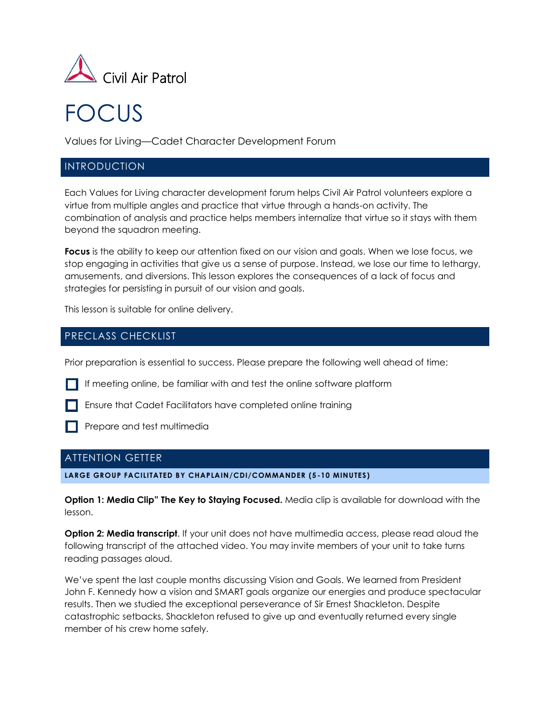

# FOCUS

Values for Living—Cadet Character Development Forum

## INTRODUCTION

Each Values for Living character development forum helps Civil Air Patrol volunteers explore a virtue from multiple angles and practice that virtue through a hands-on activity. The combination of analysis and practice helps members internalize that virtue so it stays with them beyond the squadron meeting.

**Focus** is the ability to keep our attention fixed on our vision and goals. When we lose focus, we stop engaging in activities that give us a sense of purpose. Instead, we lose our time to lethargy, amusements, and diversions. This lesson explores the consequences of a lack of focus and strategies for persisting in pursuit of our vision and goals.

This lesson is suitable for online delivery.

# PRECLASS CHECKLIST

Prior preparation is essential to success. Please prepare the following well ahead of time:

- If meeting online, be familiar with and test the online software platform
- Ensure that Cadet Facilitators have completed online training
- 

**Prepare and test multimedia** 

## ATTENTION GETTER

**LARGE GROUP FACILITATED BY CHAPLAIN/CDI/COMMANDER (5 -10 MINUTES)**

**Option 1: Media Clip" The Key to Staying Focused.** Media clip is available for download with the lesson.

**Option 2: Media transcript**. If your unit does not have multimedia access, please read aloud the following transcript of the attached video. You may invite members of your unit to take turns reading passages aloud.

We've spent the last couple months discussing Vision and Goals. We learned from President John F. Kennedy how a vision and SMART goals organize our energies and produce spectacular results. Then we studied the exceptional perseverance of Sir Ernest Shackleton. Despite catastrophic setbacks, Shackleton refused to give up and eventually returned every single member of his crew home safely.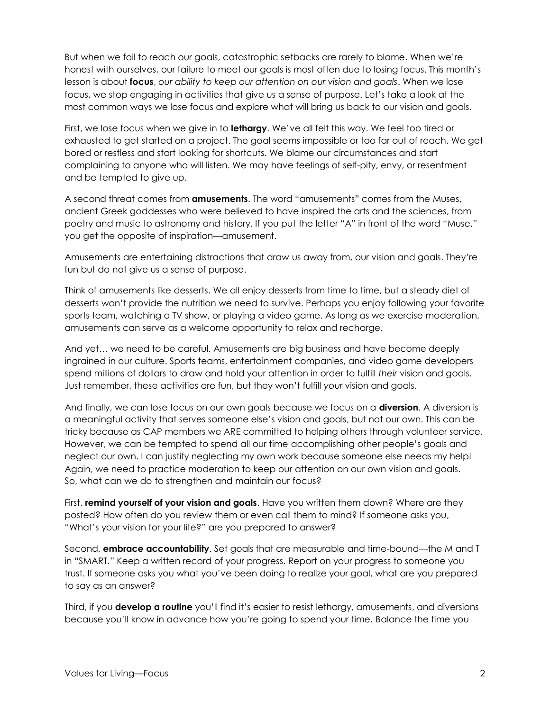But when we fail to reach our goals, catastrophic setbacks are rarely to blame. When we're honest with ourselves, our failure to meet our goals is most often due to losing focus. This month's lesson is about **focus**, *our ability to keep our attention on our vision and goals*. When we lose focus, we stop engaging in activities that give us a sense of purpose. Let's take a look at the most common ways we lose focus and explore what will bring us back to our vision and goals.

First, we lose focus when we give in to **lethargy**. We've all felt this way. We feel too tired or exhausted to get started on a project. The goal seems impossible or too far out of reach. We get bored or restless and start looking for shortcuts. We blame our circumstances and start complaining to anyone who will listen. We may have feelings of self-pity, envy, or resentment and be tempted to give up.

A second threat comes from **amusements**. The word "amusements" comes from the Muses, ancient Greek goddesses who were believed to have inspired the arts and the sciences, from poetry and music to astronomy and history. If you put the letter "A" in front of the word "Muse," you get the opposite of inspiration—amusement.

Amusements are entertaining distractions that draw us away from, our vision and goals. They're fun but do not give us a sense of purpose.

Think of amusements like desserts. We all enjoy desserts from time to time, but a steady diet of desserts won't provide the nutrition we need to survive. Perhaps you enjoy following your favorite sports team, watching a TV show, or playing a video game. As long as we exercise moderation, amusements can serve as a welcome opportunity to relax and recharge.

And yet… we need to be careful. Amusements are big business and have become deeply ingrained in our culture. Sports teams, entertainment companies, and video game developers spend millions of dollars to draw and hold your attention in order to fulfill *their* vision and goals. Just remember, these activities are fun, but they won't fulfill *your* vision and goals.

And finally, we can lose focus on our own goals because we focus on a **diversion**. A diversion is a meaningful activity that serves someone else's vision and goals, but not our own. This can be tricky because as CAP members we ARE committed to helping others through volunteer service. However, we can be tempted to spend all our time accomplishing other people's goals and neglect our own. I can justify neglecting my own work because someone else needs my help! Again, we need to practice moderation to keep our attention on our own vision and goals. So, what can we do to strengthen and maintain our focus?

First, **remind yourself of your vision and goals**. Have you written them down? Where are they posted? How often do you review them or even call them to mind? If someone asks you, "What's your vision for your life?" are you prepared to answer?

Second, **embrace accountability**. Set goals that are measurable and time-bound—the M and T in "SMART." Keep a written record of your progress. Report on your progress to someone you trust. If someone asks you what you've been doing to realize your goal, what are you prepared to say as an answer?

Third, if you **develop a routine** you'll find it's easier to resist lethargy, amusements, and diversions because you'll know in advance how you're going to spend your time. Balance the time you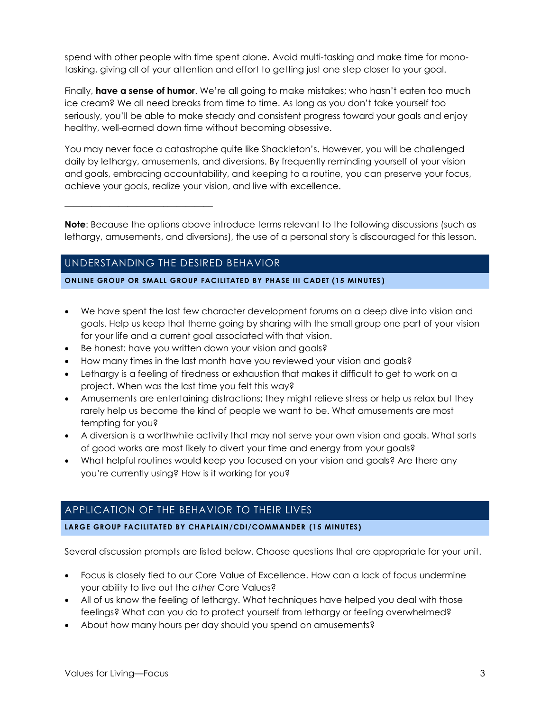spend with other people with time spent alone. Avoid multi-tasking and make time for monotasking, giving all of your attention and effort to getting just one step closer to your goal.

Finally, **have a sense of humor**. We're all going to make mistakes; who hasn't eaten too much ice cream? We all need breaks from time to time. As long as you don't take yourself too seriously, you'll be able to make steady and consistent progress toward your goals and enjoy healthy, well-earned down time without becoming obsessive.

You may never face a catastrophe quite like Shackleton's. However, you will be challenged daily by lethargy, amusements, and diversions. By frequently reminding yourself of your vision and goals, embracing accountability, and keeping to a routine, you can preserve your focus, achieve your goals, realize your vision, and live with excellence.

**Note**: Because the options above introduce terms relevant to the following discussions (such as lethargy, amusements, and diversions), the use of a personal story is discouraged for this lesson.

# UNDERSTANDING THE DESIRED BEHAVIOR

\_\_\_\_\_\_\_\_\_\_\_\_\_\_\_\_\_\_\_\_\_\_\_\_\_\_\_\_\_\_\_\_\_

#### **ONLINE GROUP OR SMALL GROUP FACILITATED BY PHASE III CADET (15 MINUTES )**

- We have spent the last few character development forums on a deep dive into vision and goals. Help us keep that theme going by sharing with the small group one part of your vision for your life and a current goal associated with that vision.
- Be honest: have you written down your vision and goals?
- How many times in the last month have you reviewed your vision and goals?
- Lethargy is a feeling of tiredness or exhaustion that makes it difficult to get to work on a project. When was the last time you felt this way?
- Amusements are entertaining distractions; they might relieve stress or help us relax but they rarely help us become the kind of people we want to be. What amusements are most tempting for you?
- A diversion is a worthwhile activity that may not serve your own vision and goals. What sorts of good works are most likely to divert your time and energy from your goals?
- What helpful routines would keep you focused on your vision and goals? Are there any you're currently using? How is it working for you?

## APPLICATION OF THE BEHAVIOR TO THEIR LIVES

#### **LARGE GROUP FACILITATED BY CHAPLAIN/CDI/COMMANDER (15 MINUTES)**

Several discussion prompts are listed below. Choose questions that are appropriate for your unit.

- Focus is closely tied to our Core Value of Excellence. How can a lack of focus undermine your ability to live out the *other* Core Values?
- All of us know the feeling of lethargy. What techniques have helped you deal with those feelings? What can you do to protect yourself from lethargy or feeling overwhelmed?
- About how many hours per day should you spend on amusements?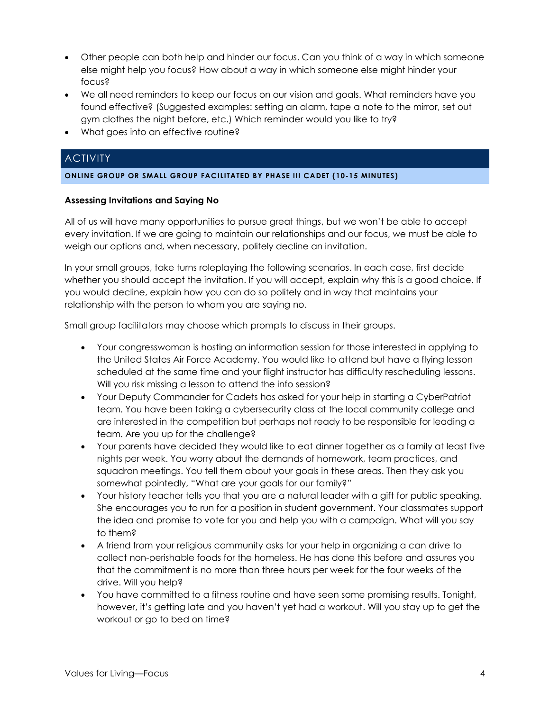- Other people can both help and hinder our focus. Can you think of a way in which someone else might help you focus? How about a way in which someone else might hinder your focus?
- We all need reminders to keep our focus on our vision and goals. What reminders have you found effective? (Suggested examples: setting an alarm, tape a note to the mirror, set out gym clothes the night before, etc.) Which reminder would you like to try?
- What goes into an effective routine?

# **ACTIVITY**

#### **ONLINE GROUP OR SMALL GROUP FACILITATED BY PHASE III CADET (10-15 MINUTES)**

#### **Assessing Invitations and Saying No**

All of us will have many opportunities to pursue great things, but we won't be able to accept every invitation. If we are going to maintain our relationships and our focus, we must be able to weigh our options and, when necessary, politely decline an invitation.

In your small groups, take turns roleplaying the following scenarios. In each case, first decide whether you should accept the invitation. If you will accept, explain why this is a good choice. If you would decline, explain how you can do so politely and in way that maintains your relationship with the person to whom you are saying no.

Small group facilitators may choose which prompts to discuss in their groups.

- Your congresswoman is hosting an information session for those interested in applying to the United States Air Force Academy. You would like to attend but have a flying lesson scheduled at the same time and your flight instructor has difficulty rescheduling lessons. Will you risk missing a lesson to attend the info session?
- Your Deputy Commander for Cadets has asked for your help in starting a CyberPatriot team. You have been taking a cybersecurity class at the local community college and are interested in the competition but perhaps not ready to be responsible for leading a team. Are you up for the challenge?
- Your parents have decided they would like to eat dinner together as a family at least five nights per week. You worry about the demands of homework, team practices, and squadron meetings. You tell them about your goals in these areas. Then they ask you somewhat pointedly, "What are your goals for our family?"
- Your history teacher tells you that you are a natural leader with a gift for public speaking. She encourages you to run for a position in student government. Your classmates support the idea and promise to vote for you and help you with a campaign. What will you say to them?
- A friend from your religious community asks for your help in organizing a can drive to collect non-perishable foods for the homeless. He has done this before and assures you that the commitment is no more than three hours per week for the four weeks of the drive. Will you help?
- You have committed to a fitness routine and have seen some promising results. Tonight, however, it's getting late and you haven't yet had a workout. Will you stay up to get the workout or go to bed on time?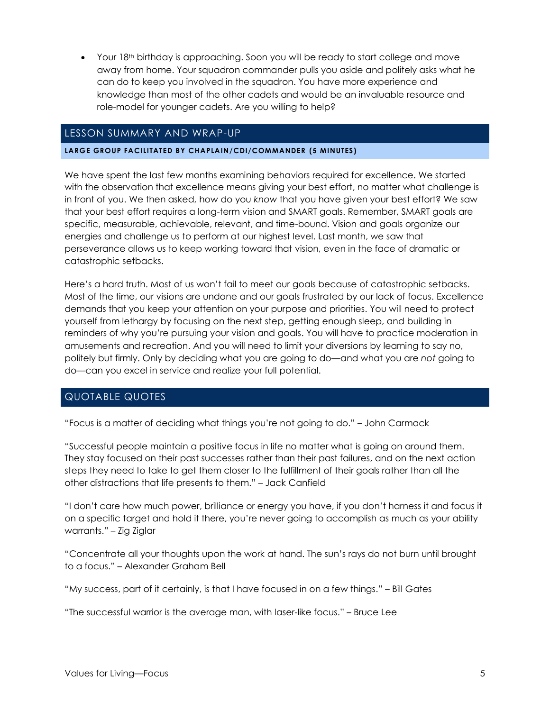• Your 18<sup>th</sup> birthday is approaching. Soon you will be ready to start college and move away from home. Your squadron commander pulls you aside and politely asks what he can do to keep you involved in the squadron. You have more experience and knowledge than most of the other cadets and would be an invaluable resource and role-model for younger cadets. Are you willing to help?

## LESSON SUMMARY AND WRAP-UP

#### **LARGE GROUP FACILITATED BY CHAPLAIN/CDI/COMMANDER (5 MINUTES)**

We have spent the last few months examining behaviors required for excellence. We started with the observation that excellence means giving your best effort, no matter what challenge is in front of you. We then asked, how do you *know* that you have given your best effort? We saw that your best effort requires a long-term vision and SMART goals. Remember, SMART goals are specific, measurable, achievable, relevant, and time-bound. Vision and goals organize our energies and challenge us to perform at our highest level. Last month, we saw that perseverance allows us to keep working toward that vision, even in the face of dramatic or catastrophic setbacks.

Here's a hard truth. Most of us won't fail to meet our goals because of catastrophic setbacks. Most of the time, our visions are undone and our goals frustrated by our lack of focus. Excellence demands that you keep your attention on your purpose and priorities. You will need to protect yourself from lethargy by focusing on the next step, getting enough sleep, and building in reminders of why you're pursuing your vision and goals. You will have to practice moderation in amusements and recreation. And you will need to limit your diversions by learning to say no, politely but firmly. Only by deciding what you are going to do—and what you are *not* going to do—can you excel in service and realize your full potential.

# QUOTABLE QUOTES

"Focus is a matter of deciding what things you're not going to do." – John Carmack

"Successful people maintain a positive focus in life no matter what is going on around them. They stay focused on their past successes rather than their past failures, and on the next action steps they need to take to get them closer to the fulfillment of their goals rather than all the other distractions that life presents to them." – Jack Canfield

"I don't care how much power, brilliance or energy you have, if you don't harness it and focus it on a specific target and hold it there, you're never going to accomplish as much as your ability warrants." – Zig Ziglar

"Concentrate all your thoughts upon the work at hand. The sun's rays do not burn until brought to a focus." – Alexander Graham Bell

"My success, part of it certainly, is that I have focused in on a few things." – Bill Gates

"The successful warrior is the average man, with laser-like focus." – Bruce Lee